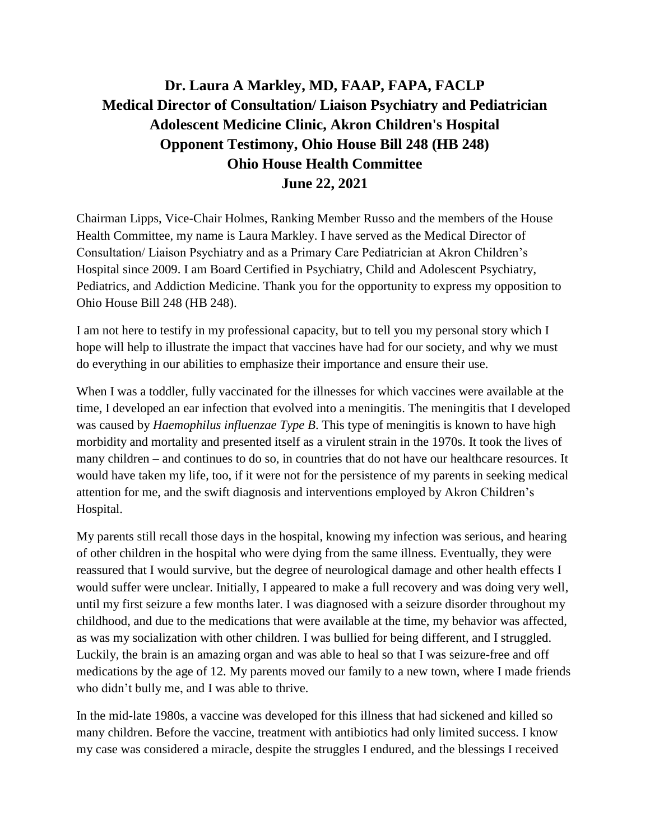## **Dr. Laura A Markley, MD, FAAP, FAPA, FACLP Medical Director of Consultation/ Liaison Psychiatry and Pediatrician Adolescent Medicine Clinic, Akron Children's Hospital Opponent Testimony, Ohio House Bill 248 (HB 248) Ohio House Health Committee June 22, 2021**

Chairman Lipps, Vice-Chair Holmes, Ranking Member Russo and the members of the House Health Committee, my name is Laura Markley. I have served as the Medical Director of Consultation/ Liaison Psychiatry and as a Primary Care Pediatrician at Akron Children's Hospital since 2009. I am Board Certified in Psychiatry, Child and Adolescent Psychiatry, Pediatrics, and Addiction Medicine. Thank you for the opportunity to express my opposition to Ohio House Bill 248 (HB 248).

I am not here to testify in my professional capacity, but to tell you my personal story which I hope will help to illustrate the impact that vaccines have had for our society, and why we must do everything in our abilities to emphasize their importance and ensure their use.

When I was a toddler, fully vaccinated for the illnesses for which vaccines were available at the time, I developed an ear infection that evolved into a meningitis. The meningitis that I developed was caused by *Haemophilus influenzae Type B*. This type of meningitis is known to have high morbidity and mortality and presented itself as a virulent strain in the 1970s. It took the lives of many children – and continues to do so, in countries that do not have our healthcare resources. It would have taken my life, too, if it were not for the persistence of my parents in seeking medical attention for me, and the swift diagnosis and interventions employed by Akron Children's Hospital.

My parents still recall those days in the hospital, knowing my infection was serious, and hearing of other children in the hospital who were dying from the same illness. Eventually, they were reassured that I would survive, but the degree of neurological damage and other health effects I would suffer were unclear. Initially, I appeared to make a full recovery and was doing very well, until my first seizure a few months later. I was diagnosed with a seizure disorder throughout my childhood, and due to the medications that were available at the time, my behavior was affected, as was my socialization with other children. I was bullied for being different, and I struggled. Luckily, the brain is an amazing organ and was able to heal so that I was seizure-free and off medications by the age of 12. My parents moved our family to a new town, where I made friends who didn't bully me, and I was able to thrive.

In the mid-late 1980s, a vaccine was developed for this illness that had sickened and killed so many children. Before the vaccine, treatment with antibiotics had only limited success. I know my case was considered a miracle, despite the struggles I endured, and the blessings I received